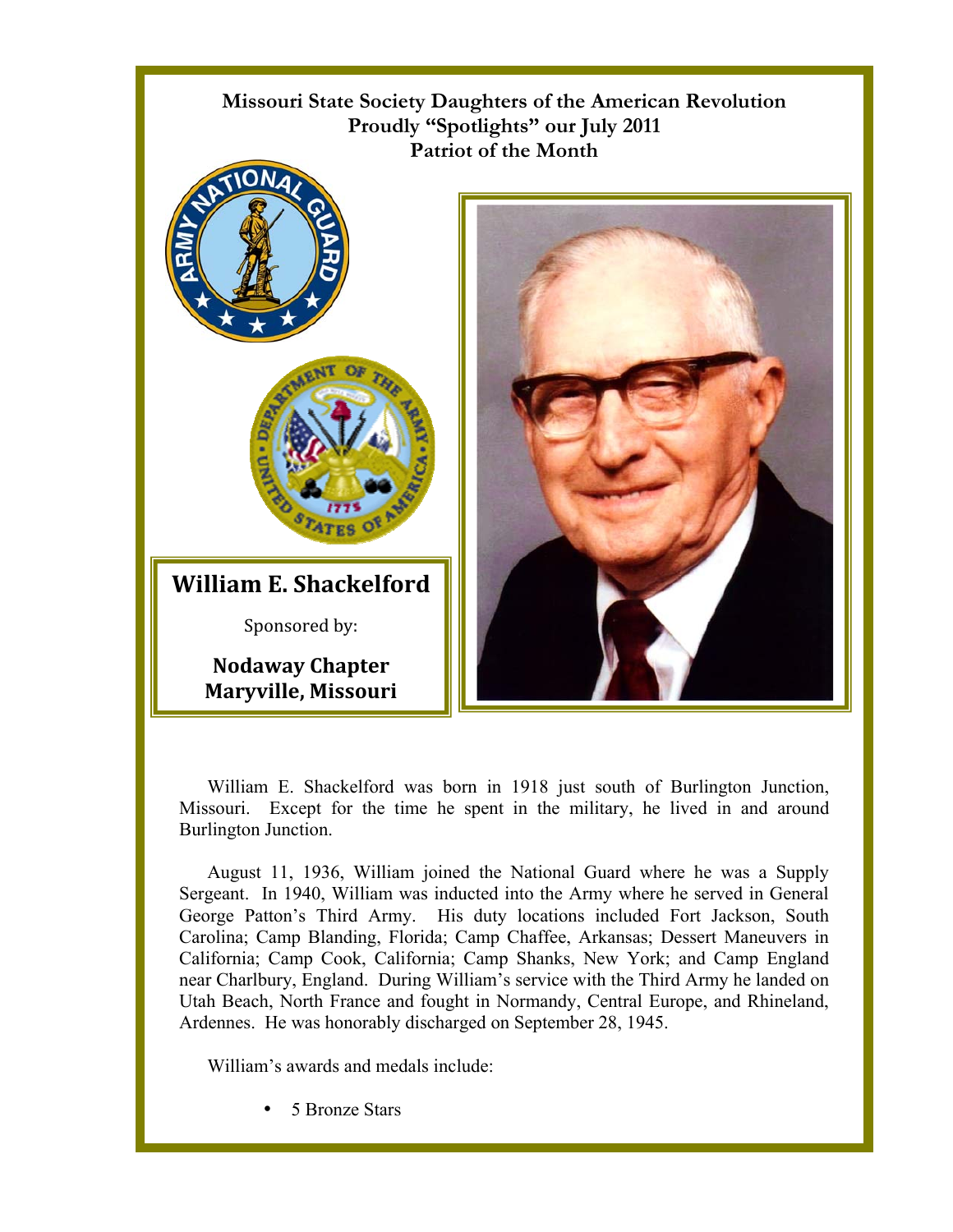

William E. Shackelford was born in 1918 just south of Burlington Junction, Missouri. Except for the time he spent in the military, he lived in and around Burlington Junction.

August 11, 1936, William joined the National Guard where he was a Supply Sergeant. In 1940, William was inducted into the Army where he served in General George Patton's Third Army. His duty locations included Fort Jackson, South Carolina; Camp Blanding, Florida; Camp Chaffee, Arkansas; Dessert Maneuvers in California; Camp Cook, California; Camp Shanks, New York; and Camp England near Charlbury, England. During William's service with the Third Army he landed on Utah Beach, North France and fought in Normandy, Central Europe, and Rhineland, Ardennes. He was honorably discharged on September 28, 1945.

William's awards and medals include:

5 Bronze Stars